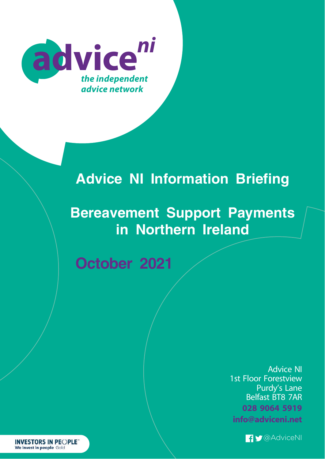

# **Advice NI Information Briefing**

# **Bereavement Support Payments in Northern Ireland**

**October 2021**

Advice NI 1st Floor Forestview Purdy's Lane Belfast BT8 7AR **028 9064 5919 info@adviceni.net**



**INVESTORS IN PEOPLE** We invest in people Gold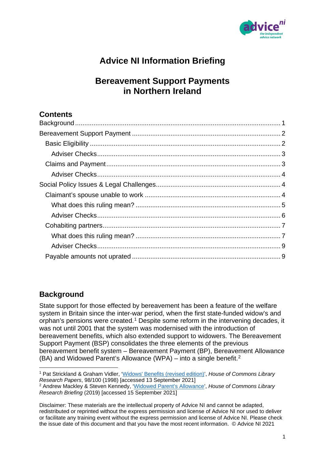

# **Advice NI Information Briefing**

# **Bereavement Support Payments in Northern Ireland**

# **Contents**

# <span id="page-1-0"></span>**Background**

State support for those effected by bereavement has been a feature of the welfare system in Britain since the inter-war period, when the first state-funded widow's and orphan's pensions were created. [1](#page-1-1) Despite some reform in the intervening decades, it was not until 2001 that the system was modernised with the introduction of bereavement benefits, which also extended support to widowers. The Bereavement Support Payment (BSP) consolidates the three elements of the previous bereavement benefit system – Bereavement Payment (BP), Bereavement Allowance (BA) and Widowed Parent's Allowance (WPA) – into a single benefit.[2](#page-1-2)

<span id="page-1-1"></span> <sup>1</sup> Pat Strickland & Graham Vidler, ['Widows' Benefits \(revised edition\)',](https://researchbriefings.files.parliament.uk/documents/RP98-100/RP98-100.pdf) *House of Commons Library Research Papers*, 98/100 (1998) [accessed 13 September 2021]

<span id="page-1-2"></span><sup>2</sup> Andrew Mackley & Steven Kennedy, ['Widowed Parent's Allowance'](https://commonslibrary.parliament.uk/research-briefings/cdp-2019-0006/), *House of Commons Library Research Briefing* (2019) [accessed 15 September 2021]

Disclaimer: These materials are the intellectual property of Advice NI and cannot be adapted, redistributed or reprinted without the express permission and license of Advice NI nor used to deliver or facilitate any training event without the express permission and license of Advice NI. Please check the issue date of this document and that you have the most recent information. © Advice NI 2021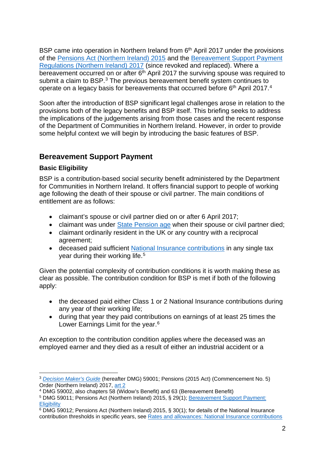BSP came into operation in Northern Ireland from  $6<sup>th</sup>$  April 2017 under the provisions of the [Pensions Act \(Northern Ireland\) 2015](https://www.legislation.gov.uk/nia/2015/5/part/5) and the [Bereavement Support Payment](https://www.legislation.gov.uk/nisr/2017/65/contents/made)  [Regulations \(Northern Ireland\) 2017](https://www.legislation.gov.uk/nisr/2017/65/contents/made) (since revoked and replaced). Where a bereavement occurred on or after 6<sup>th</sup> April 2017 the surviving spouse was required to submit a claim to BSP.<sup>[3](#page-2-2)</sup> The previous bereavement benefit system continues to operate on a legacy basis for bereavements that occurred before 6<sup>th</sup> April 2017.<sup>[4](#page-2-3)</sup>

Soon after the introduction of BSP significant legal challenges arose in relation to the provisions both of the legacy benefits and BSP itself. This briefing seeks to address the implications of the judgements arising from those cases and the recent response of the Department of Communities in Northern Ireland. However, in order to provide some helpful context we will begin by introducing the basic features of BSP.

# <span id="page-2-0"></span>**Bereavement Support Payment**

## <span id="page-2-1"></span>**Basic Eligibility**

BSP is a contribution-based social security benefit administered by the Department for Communities in Northern Ireland. It offers financial support to people of working age following the death of their spouse or civil partner. The main conditions of entitlement are as follows:

- claimant's spouse or civil partner died on or after 6 April 2017;
- claimant was under [State Pension age](https://www.gov.uk/state-pension-age) when their spouse or civil partner died:
- claimant ordinarily resident in the UK or any country with a reciprocal agreement;
- deceased paid sufficient [National Insurance contributions](https://www.gov.uk/national-insurance/national-insurance-classes) in any single tax year during their working life. [5](#page-2-4)

Given the potential complexity of contribution conditions it is worth making these as clear as possible. The contribution condition for BSP is met if both of the following apply:

- the deceased paid either Class 1 or 2 National Insurance contributions during any year of their working life;
- during that year they paid contributions on earnings of at least 25 times the Lower Earnings Limit for the year.<sup>[6](#page-2-5)</sup>

An exception to the contribution condition applies where the deceased was an employed earner and they died as a result of either an industrial accident or a

<span id="page-2-2"></span> <sup>3</sup> *[Decision Maker's Guide](https://www.communities-ni.gov.uk/publications/decision-makers-guide-volume-10)* (hereafter DMG) 59001; Pensions (2015 Act) (Commencement No. 5) Order (Northern Ireland) 2017, [art 2](https://www.legislation.gov.uk/nisr/2017/44/article/2/made)

<span id="page-2-3"></span><sup>4</sup> DMG 59002, also chapters 58 (Widow's Benefit) and 63 (Bereavement Benefit)

<span id="page-2-4"></span><sup>5</sup> DMG 59011; Pensions Act (Northern Ireland) 2015, § 29(1); [Bereavement Support Payment:](https://www.nidirect.gov.uk/articles/bereavement-support-payment#toc-0)  **[Eligibility](https://www.nidirect.gov.uk/articles/bereavement-support-payment#toc-0)** 

<span id="page-2-5"></span> $6$  DMG 59012; Pensions Act (Northern Ireland) 2015, § 30(1); for details of the National Insurance contribution thresholds in specific years, see [Rates and allowances: National Insurance contributions](https://www.gov.uk/government/publications/rates-and-allowances-national-insurance-contributions/rates-and-allowances-national-insurance-contributions)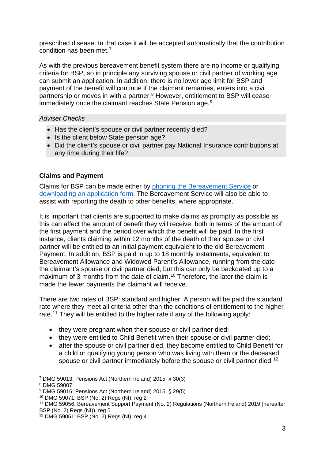prescribed disease. In that case it will be accepted automatically that the contribution condition has been met.[7](#page-3-2)

As with the previous bereavement benefit system there are no income or qualifying criteria for BSP, so in principle any surviving spouse or civil partner of working age can submit an application. In addition, there is no lower age limit for BSP and payment of the benefit will continue if the claimant remarries, enters into a civil partnership or moves in with a partner.<sup>[8](#page-3-3)</sup> However, entitlement to BSP will cease immediately once the claimant reaches State Pension age.<sup>[9](#page-3-4)</sup>

### <span id="page-3-0"></span>*Adviser Checks*

- Has the client's spouse or civil partner recently died?
- Is the client below State pension age?
- Did the client's spouse or civil partner pay National Insurance contributions at any time during their life?

# <span id="page-3-1"></span>**Claims and Payment**

Claims for BSP can be made either by [phoning the Bereavement Service](https://www.nidirect.gov.uk/contacts/bereavement-service) or [downloading an application form.](https://www.nidirect.gov.uk/publications/bereavement-support-payment-application-form) The Bereavement Service will also be able to assist with reporting the death to other benefits, where appropriate.

It is important that clients are supported to make claims as promptly as possible as this can affect the amount of benefit they will receive, both in terms of the amount of the first payment and the period over which the benefit will be paid. In the first instance, clients claiming within 12 months of the death of their spouse or civil partner will be entitled to an initial payment equivalent to the old Bereavement Payment. In addition, BSP is paid in up to 18 monthly instalments, equivalent to Bereavement Allowance and Widowed Parent's Allowance, running from the date the claimant's spouse or civil partner died, but this can only be backdated up to a maximum of 3 months from the date of claim.<sup>[10](#page-3-5)</sup> Therefore, the later the claim is made the fewer payments the claimant will receive.

There are two rates of BSP: standard and higher. A person will be paid the standard rate where they meet all criteria other than the conditions of entitlement to the higher rate.<sup>[11](#page-3-6)</sup> They will be entitled to the higher rate if any of the following apply:

- they were pregnant when their spouse or civil partner died;
- they were entitled to Child Benefit when their spouse or civil partner died;
- after the spouse or civil partner died, they become entitled to Child Benefit for a child or qualifying young person who was living with them or the deceased spouse or civil partner immediately before the spouse or civil partner died.<sup>[12](#page-3-7)</sup>

<span id="page-3-5"></span><sup>10</sup> DMG 59071; BSP (No. 2) Regs (NI), reg 2

<span id="page-3-2"></span> <sup>7</sup> DMG 59013; Pensions Act (Northern Ireland) 2015, § 30(3)

<span id="page-3-3"></span><sup>8</sup> DMG 59007

<span id="page-3-4"></span><sup>9</sup> DMG 59016; Pensions Act (Northern Ireland) 2015, § 29(5)

<span id="page-3-6"></span><sup>11</sup> DMG 59056; Bereavement Support Payment (No. 2) Regulations (Northern Ireland) 2019 (hereafter BSP (No. 2) Regs (NI)), reg 5

<span id="page-3-7"></span><sup>12</sup> DMG 59051; BSP (No. 2) Regs (NI), reg 4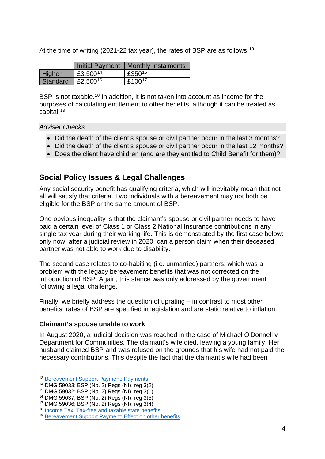At the time of writing (2021-22 tax year), the rates of BSP are as follows:<sup>[13](#page-4-3)</sup>

|          | <b>Initial Payment</b> | Monthly Instalments |
|----------|------------------------|---------------------|
| Higher   | £3,500 <sup>14</sup>   | £350 <sup>15</sup>  |
| Standard | £2,500 <sup>16</sup>   | £100 <sup>17</sup>  |

BSP is not taxable.<sup>[18](#page-4-8)</sup> In addition, it is not taken into account as income for the purposes of calculating entitlement to other benefits, although it can be treated as capital.[19](#page-4-9)

#### <span id="page-4-0"></span>*Adviser Checks*

- Did the death of the client's spouse or civil partner occur in the last 3 months?
- Did the death of the client's spouse or civil partner occur in the last 12 months?
- Does the client have children (and are they entitled to Child Benefit for them)?

# <span id="page-4-1"></span>**Social Policy Issues & Legal Challenges**

Any social security benefit has qualifying criteria, which will inevitably mean that not all will satisfy that criteria. Two individuals with a bereavement may not both be eligible for the BSP or the same amount of BSP.

One obvious inequality is that the claimant's spouse or civil partner needs to have paid a certain level of Class 1 or Class 2 National Insurance contributions in any single tax year during their working life. This is demonstrated by the first case below: only now, after a judicial review in 2020, can a person claim when their deceased partner was not able to work due to disability.

The second case relates to co-habiting (i.e. unmarried) partners, which was a problem with the legacy bereavement benefits that was not corrected on the introduction of BSP. Again, this stance was only addressed by the government following a legal challenge.

Finally, we briefly address the question of uprating – in contrast to most other benefits, rates of BSP are specified in legislation and are static relative to inflation.

### <span id="page-4-2"></span>**Claimant's spouse unable to work**

In August 2020, a judicial decision was reached in the case of Michael O'Donnell v Department for Communities. The claimant's wife died, leaving a young family. Her husband claimed BSP and was refused on the grounds that his wife had not paid the necessary contributions. This despite the fact that the claimant's wife had been

 <sup>13</sup> [Bereavement Support Payment: Payments](https://www.nidirect.gov.uk/articles/bereavement-support-payment#toc-1)

<span id="page-4-4"></span><span id="page-4-3"></span><sup>14</sup> DMG 59033; BSP (No. 2) Regs (NI), reg 3(2)

<sup>15</sup> DMG 59032; BSP (No. 2) Regs (NI), reg 3(1)

<span id="page-4-6"></span><span id="page-4-5"></span><sup>16</sup> DMG 59037; BSP (No. 2) Regs (NI), reg 3(5)

<span id="page-4-7"></span> $17$  DMG 59036; BSP (No. 2) Regs (NI), reg  $3(4)$ 

<span id="page-4-8"></span><sup>18</sup> [Income Tax: Tax-free and taxable state benefits](https://www.gov.uk/income-tax/taxfree-and-taxable-state-benefits)

<span id="page-4-9"></span><sup>19</sup> [Bereavement Support Payment: Effect on other benefits](https://www.nidirect.gov.uk/articles/bereavement-support-payment#toc-2)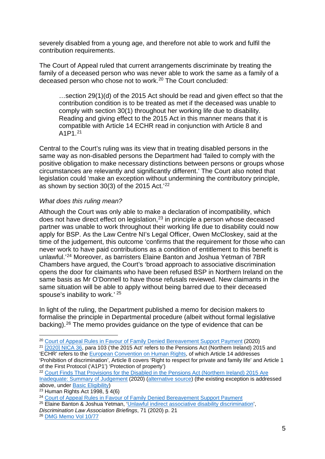severely disabled from a young age, and therefore not able to work and fulfil the contribution requirements.

The Court of Appeal ruled that current arrangements discriminate by treating the family of a deceased person who was never able to work the same as a family of a deceased person who chose not to work.[20](#page-5-1) The Court concluded:

…section 29(1)(d) of the 2015 Act should be read and given effect so that the contribution condition is to be treated as met if the deceased was unable to comply with section 30(1) throughout her working life due to disability. Reading and giving effect to the 2015 Act in this manner means that it is compatible with Article 14 ECHR read in conjunction with Article 8 and A1P1.[21](#page-5-2)

Central to the Court's ruling was its view that in treating disabled persons in the same way as non-disabled persons the Department had 'failed to comply with the positive obligation to make necessary distinctions between persons or groups whose circumstances are relevantly and significantly different.' The Court also noted that legislation could 'make an exception without undermining the contributory principle, as shown by section 30(3) of the 2015 Act.' [22](#page-5-3)

### <span id="page-5-0"></span>*What does this ruling mean?*

Although the Court was only able to make a declaration of incompatibility, which does not have direct effect on legislation,  $23$  in principle a person whose deceased partner was unable to work throughout their working life due to disability could now apply for BSP. As the Law Centre NI's Legal Officer, Owen McCloskey, said at the time of the judgement, this outcome 'confirms that the requirement for those who can never work to have paid contributions as a condition of entitlement to this benefit is unlawful.' [24](#page-5-5) Moreover, as barristers Elaine Banton and Joshua Yetman of 7BR Chambers have argued, the Court's 'broad approach to associative discrimination opens the door for claimants who have been refused BSP in Northern Ireland on the same basis as Mr O'Donnell to have those refusals reviewed. New claimants in the same situation will be able to apply without being barred due to their deceased spouse's inability to work.' [25](#page-5-6)

In light of the ruling, the Department published a memo for decision makers to formalise the principle in Departmental procedure (albeit without formal legislative backing).[26](#page-5-7) The memo provides guidance on the type of evidence that can be

<span id="page-5-2"></span><sup>21</sup> [\[2020\] NICA 36,](https://www.judiciaryni.uk/sites/judiciary/files/decisions/Michael%20O%27Donnell%20v%20Department%20for%20Communities.pdf) para 103 ('the 2015 Act' refers to the Pensions Act (Northern Ireland) 2015 and 'ECHR' refers to the [European Convention on Human Rights,](https://www.echr.coe.int/Pages/home.aspx?p=basictexts&c=) of which Article 14 addresses 'Prohibition of discrimination', Article 8 covers 'Right to respect for private and family life' and Article 1 of the First Protocol ('A1P1') 'Protection of property')

<span id="page-5-1"></span> <sup>20</sup> [Court of Appeal Rules in Favour of Family Denied Bereavement Support Payment](https://www.lawcentreni.org/news/court-of-appeal-rules-in-favour-of-family-denied-bereavement-support-payment) (2020)

<span id="page-5-3"></span><sup>&</sup>lt;sup>22</sup> Court Finds That Provisions for the Disabled in the Pensions Act (Northern Ireland) 2015 Are [Inadequate: Summary of Judgement](https://www.judiciaryni.uk/sites/judiciary/files/decisions/Summary%20of%20judgment%20-%20Court%20finds%20that%20provisions%20for%20the%20disabled%20in%20The%20Pensions%20Act%20(NI)%202015%20are%20inadequate.pdf) (2020) [\(alternative source\)](https://www.lawsoc-ni.org/summary-of-judgment-odonnell-v-department-for-communities) (the existing exception is addressed above, under [Basic Eligibility\)](#page-2-1)

<span id="page-5-4"></span><sup>&</sup>lt;sup>23</sup> Human Rights Act 1998,  $\hat{S}$  4(6)

<span id="page-5-5"></span><sup>&</sup>lt;sup>24</sup> Court of Appeal Rules in Fayour of Family Denied Bereavement Support Payment

<span id="page-5-6"></span><sup>25</sup> Elaine Banton & Joshua Yetman, ['Unlawful indirect associative disability discrimination',](https://2hde4y1lf0so1m4o3j3zb1gn-wpengine.netdna-ssl.com/wp-content/uploads/2020/11/DLA-Briefings-Nov-2020-ODvDfC-EB-JY.pdf)

*Discrimination Law Association Briefings*, 71 (2020) p. 21

<span id="page-5-7"></span><sup>26</sup> [DMG Memo Vol 10/77](https://www.communities-ni.gov.uk/sites/default/files/publications/communities/dmg-memo-vol10-77.pdf)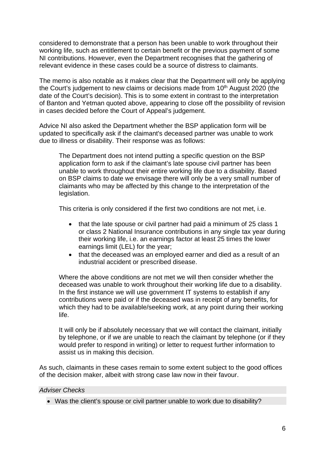considered to demonstrate that a person has been unable to work throughout their working life, such as entitlement to certain benefit or the previous payment of some NI contributions. However, even the Department recognises that the gathering of relevant evidence in these cases could be a source of distress to claimants.

The memo is also notable as it makes clear that the Department will only be applying the Court's judgement to new claims or decisions made from 10<sup>th</sup> August 2020 (the date of the Court's decision). This is to some extent in contrast to the interpretation of Banton and Yetman quoted above, appearing to close off the possibility of revision in cases decided before the Court of Appeal's judgement.

Advice NI also asked the Department whether the BSP application form will be updated to specifically ask if the claimant's deceased partner was unable to work due to illness or disability. Their response was as follows:

The Department does not intend putting a specific question on the BSP application form to ask if the claimant's late spouse civil partner has been unable to work throughout their entire working life due to a disability. Based on BSP claims to date we envisage there will only be a very small number of claimants who may be affected by this change to the interpretation of the legislation.

This criteria is only considered if the first two conditions are not met, i.e.

- that the late spouse or civil partner had paid a minimum of 25 class 1 or class 2 National Insurance contributions in any single tax year during their working life, i.e. an earnings factor at least 25 times the lower earnings limit (LEL) for the year;
- that the deceased was an employed earner and died as a result of an industrial accident or prescribed disease.

Where the above conditions are not met we will then consider whether the deceased was unable to work throughout their working life due to a disability. In the first instance we will use government IT systems to establish if any contributions were paid or if the deceased was in receipt of any benefits, for which they had to be available/seeking work, at any point during their working life.

It will only be if absolutely necessary that we will contact the claimant, initially by telephone, or if we are unable to reach the claimant by telephone (or if they would prefer to respond in writing) or letter to request further information to assist us in making this decision.

As such, claimants in these cases remain to some extent subject to the good offices of the decision maker, albeit with strong case law now in their favour.

#### <span id="page-6-0"></span>*Adviser Checks*

• Was the client's spouse or civil partner unable to work due to disability?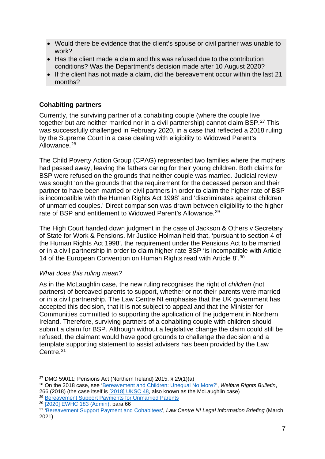- Would there be evidence that the client's spouse or civil partner was unable to work?
- Has the client made a claim and this was refused due to the contribution conditions? Was the Department's decision made after 10 August 2020?
- If the client has not made a claim, did the bereavement occur within the last 21 months?

## <span id="page-7-0"></span>**Cohabiting partners**

Currently, the surviving partner of a cohabiting couple (where the couple live together but are neither married nor in a civil partnership) cannot claim BSP.<sup>[27](#page-7-2)</sup> This was successfully challenged in February 2020, in a case that reflected a 2018 ruling by the Supreme Court in a case dealing with eligibility to Widowed Parent's Allowance.<sup>[28](#page-7-3)</sup>

The Child Poverty Action Group (CPAG) represented two families where the mothers had passed away, leaving the fathers caring for their young children. Both claims for BSP were refused on the grounds that neither couple was married. Judicial review was sought 'on the grounds that the requirement for the deceased person and their partner to have been married or civil partners in order to claim the higher rate of BSP is incompatible with the Human Rights Act 1998' and 'discriminates against children of unmarried couples.' Direct comparison was drawn between eligibility to the higher rate of BSP and entitlement to Widowed Parent's Allowance.<sup>[29](#page-7-4)</sup>

The High Court handed down judgment in the case of Jackson & Others v Secretary of State for Work & Pensions. Mr Justice Holman held that, 'pursuant to section 4 of the Human Rights Act 1998', the requirement under the Pensions Act to be married or in a civil partnership in order to claim higher rate BSP 'is incompatible with Article 14 of the European Convention on Human Rights read with Article 8'. [30](#page-7-5)

### <span id="page-7-1"></span>*What does this ruling mean?*

As in the McLaughlin case, the new ruling recognises the right of *children* (not partners) of bereaved parents to support, whether or not their parents were married or in a civil partnership. The Law Centre NI emphasise that the UK government has accepted this decision, that it is not subject to appeal and that the Minister for Communities committed to supporting the application of the judgement in Northern Ireland. Therefore, surviving partners of a cohabiting couple with children should submit a claim for BSP. Although without a legislative change the claim could still be refused, the claimant would have good grounds to challenge the decision and a template supporting statement to assist advisers has been provided by the Law Centre. [31](#page-7-6)

<sup>&</sup>lt;sup>27</sup> DMG 59011: Pensions Act (Northern Ireland) 2015, § 29(1)(a)

<span id="page-7-3"></span><span id="page-7-2"></span><sup>28</sup> On the 2018 case, see ['Bereavement and Children: Unequal No More?'](https://cpag.org.uk/welfare-rights/resources/article/bereavement-and-children-unequal-no-more), *Welfare Rights Bulletin*, 266 (2018) (the case itself is [\[2018\] UKSC 48,](http://www.supremecourt.uk/cases/docs/uksc-2017-0035-judgment.pdf) also known as the McLaughlin case) 29 [Bereavement Support Payments for Unmarried Parents](https://cpag.org.uk/welfare-rights/legal-test-cases/bereavement-support-payments-unmarried-parents)

<span id="page-7-5"></span><span id="page-7-4"></span><sup>30</sup> [\[2020\] EWHC 183 \(Admin\),](https://cpag.org.uk/sites/default/files/files/Approved%20Judgment.pdf) para 66

<span id="page-7-6"></span><sup>31</sup> ['Bereavement Support Payment and Cohabitees',](https://lawcentreni.s3.amazonaws.com/Legal-Information-Briefing-Bereavement-Support-Payment-and-Cohabitees.pdf) *Law Centre NI Legal Information Briefing* (March 2021)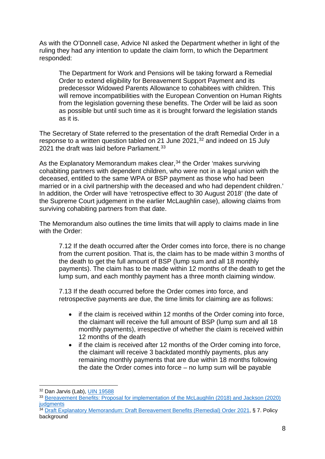As with the O'Donnell case, Advice NI asked the Department whether in light of the ruling they had any intention to update the claim form, to which the Department responded:

The Department for Work and Pensions will be taking forward a Remedial Order to extend eligibility for Bereavement Support Payment and its predecessor Widowed Parents Allowance to cohabitees with children. This will remove incompatibilities with the European Convention on Human Rights from the legislation governing these benefits. The Order will be laid as soon as possible but until such time as it is brought forward the legislation stands as it is.

The Secretary of State referred to the presentation of the draft Remedial Order in a response to a written question tabled on 21 June 2021,[32](#page-8-0) and indeed on 15 July 2021 the draft was laid before Parliament.<sup>[33](#page-8-1)</sup>

As the Explanatory Memorandum makes clear,  $34$  the Order 'makes surviving cohabiting partners with dependent children, who were not in a legal union with the deceased, entitled to the same WPA or BSP payment as those who had been married or in a civil partnership with the deceased and who had dependent children.' In addition, the Order will have 'retrospective effect to 30 August 2018' (the date of the Supreme Court judgement in the earlier McLaughlin case), allowing claims from surviving cohabiting partners from that date.

The Memorandum also outlines the time limits that will apply to claims made in line with the Order:

7.12 If the death occurred after the Order comes into force, there is no change from the current position. That is, the claim has to be made within 3 months of the death to get the full amount of BSP (lump sum and all 18 monthly payments). The claim has to be made within 12 months of the death to get the lump sum, and each monthly payment has a three month claiming window.

7.13 If the death occurred before the Order comes into force, and retrospective payments are due, the time limits for claiming are as follows:

- if the claim is received within 12 months of the Order coming into force, the claimant will receive the full amount of BSP (lump sum and all 18 monthly payments), irrespective of whether the claim is received within 12 months of the death
- if the claim is received after 12 months of the Order coming into force, the claimant will receive 3 backdated monthly payments, plus any remaining monthly payments that are due within 18 months following the date the Order comes into force – no lump sum will be payable

<span id="page-8-0"></span> <sup>32</sup> Dan Jarvis (Lab), [UIN 19588](https://questions-statements.parliament.uk/written-questions/detail/2021-06-21/19588)

<span id="page-8-1"></span><sup>&</sup>lt;sup>33</sup> Bereavement Benefits: Proposal for implementation of the McLaughlin (2018) and Jackson (2020) **[judgments](https://www.gov.uk/government/publications/bereavement-benefits-proposal-for-implementation-of-the-mclaughlin-2018-and-jackson-2020-judgments)** 

<span id="page-8-2"></span><sup>34</sup> [Draft Explanatory Memorandum: Draft Bereavement Benefits \(Remedial\) Order 2021,](https://www.gov.uk/government/publications/bereavement-benefits-proposal-for-implementation-of-the-mclaughlin-2018-and-jackson-2020-judgments/draft-explanatory-memorandum-draft-bereavement-benefits-remedial-order-2021) § 7. Policy background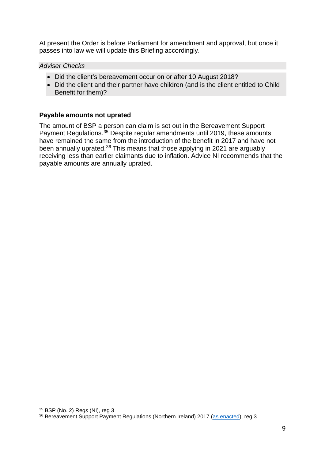At present the Order is before Parliament for amendment and approval, but once it passes into law we will update this Briefing accordingly.

<span id="page-9-0"></span>*Adviser Checks*

- Did the client's bereavement occur on or after 10 August 2018?
- Did the client and their partner have children (and is the client entitled to Child Benefit for them)?

### <span id="page-9-1"></span>**Payable amounts not uprated**

The amount of BSP a person can claim is set out in the Bereavement Support Payment Regulations.<sup>[35](#page-9-2)</sup> Despite regular amendments until 2019, these amounts have remained the same from the introduction of the benefit in 2017 and have not been annually uprated.<sup>[36](#page-9-3)</sup> This means that those applying in 2021 are arguably receiving less than earlier claimants due to inflation. Advice NI recommends that the payable amounts are annually uprated.

<span id="page-9-2"></span> <sup>35</sup> BSP (No. 2) Regs (NI), reg 3

<span id="page-9-3"></span><sup>&</sup>lt;sup>36</sup> Bereavement Support Payment Regulations (Northern Ireland) 2017 [\(as enacted\)](https://www.legislation.gov.uk/nisr/2017/65/contents/made), reg 3